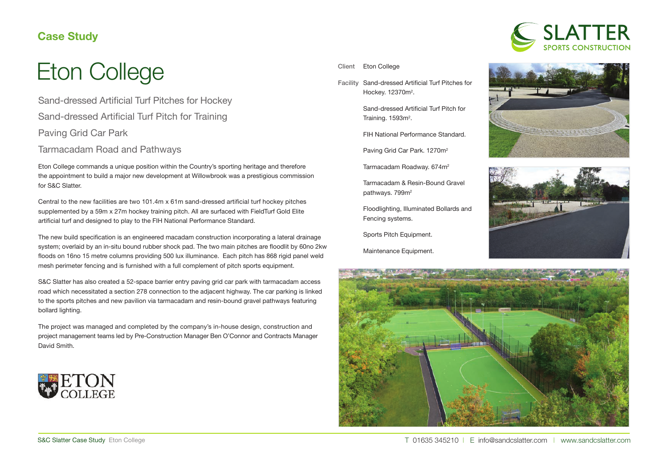## **Case Study**



Sand-dressed Artificial Turf Pitches for Hockey Sand-dressed Artificial Turf Pitch for Training Paving Grid Car Park

Tarmacadam Road and Pathways

Eton College commands a unique position within the Country's sporting heritage and therefore the appointment to build a major new development at Willowbrook was a prestigious commission for S&C Slatter.

Central to the new facilities are two 101.4m x 61m sand-dressed artificial turf hockey pitches supplemented by a 59m x 27m hockey training pitch. All are surfaced with FieldTurf Gold Elite artificial turf and designed to play to the FIH National Performance Standard.

The new build specification is an engineered macadam construction incorporating a lateral drainage system; overlaid by an in-situ bound rubber shock pad. The two main pitches are floodlit by 60no 2kw floods on 16no 15 metre columns providing 500 lux illuminance. Each pitch has 868 rigid panel weld mesh perimeter fencing and is furnished with a full complement of pitch sports equipment.

S&C Slatter has also created a 52-space barrier entry paving grid car park with tarmacadam access road which necessitated a section 278 connection to the adjacent highway. The car parking is linked to the sports pitches and new pavilion via tarmacadam and resin-bound gravel pathways featuring bollard lighting.

The project was managed and completed by the company's in-house design, construction and project management teams led by Pre-Construction Manager Ben O'Connor and Contracts Manager David Smith.





Facility Sand-dressed Artificial Turf Pitches for Hockey. 12370m<sup>2</sup>.

> Sand-dressed Artificial Turf Pitch for Training. 1593m<sup>2</sup>.

FIH National Performance Standard.

Paving Grid Car Park. 1270m<sup>2</sup>

Tarmacadam Roadway. 674m<sup>2</sup>

Tarmacadam & Resin-Bound Gravel pathways. 799m<sup>2</sup>

Floodlighting, Illuminated Bollards and Fencing systems.

Sports Pitch Equipment.

Maintenance Equipment.







T 01635 345210 | E info@sandcslatter.com | www.sandcslatter.com